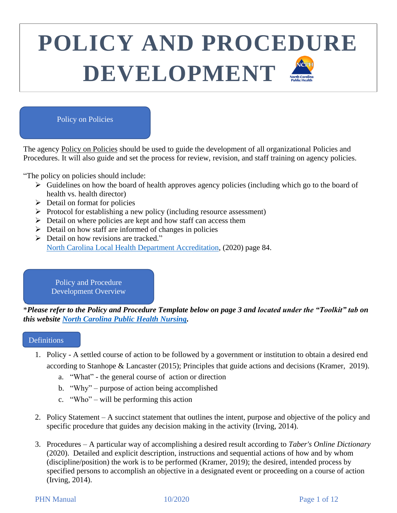#### Policy on Policies

The agency Policy on Policies should be used to guide the development of all organizational Policies and Procedures. It will also guide and set the process for review, revision, and staff training on agency policies.

"The policy on policies should include:

- ➢ Guidelines on how the board of health approves agency policies (including which go to the board of health vs. health director)
- $\triangleright$  Detail on format for policies
- ➢ Protocol for establishing a new policy (including resource assessment)
- ➢ Detail on where policies are kept and how staff can access them
- $\triangleright$  Detail on how staff are informed of changes in policies
- ➢ Detail on how revisions are tracked." [North Carolina Local Health Department Accreditation,](https://nclhdaccreditation.unc.edu/files/2020/05/HDSAI-Retrospective-Interpretation-Version-6.4__5.8.20.Final_.pdf) (2020) page 84.

Policy and Procedure Development Overview

\**Please refer to the Policy and Procedure Template below on page 3 and located under the "Toolkit" tab on this website [North Carolina Public Health Nursing.](https://ncpublichealthnursing.org/)*

#### **Definitions**

\

- 1. Policy A settled course of action to be followed by a government or institution to obtain a desired end according to Stanhope & Lancaster (2015); Principles that guide actions and decisions (Kramer, 2019).
	- a. "What" the general course of action or direction
	- b. "Why" purpose of action being accomplished
	- c. "Who" will be performing this action
- 2. Policy Statement A succinct statement that outlines the intent, purpose and objective of the policy and specific procedure that guides any decision making in the activity (Irving, 2014).
- 3. Procedures A particular way of accomplishing a desired result according to *Taber's Online Dictionary*  (2020). Detailed and explicit description, instructions and sequential actions of how and by whom (discipline/position) the work is to be performed (Kramer, 2019); the desired, intended process by specified persons to accomplish an objective in a designated event or proceeding on a course of action (Irving, 2014).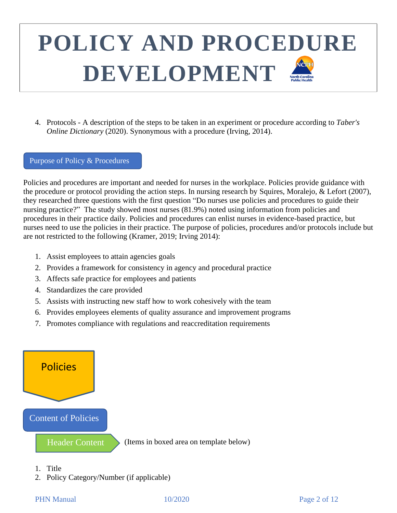4. Protocols - A description of the steps to be taken in an experiment or procedure according to *Taber's Online Dictionary* (2020). Synonymous with a procedure (Irving, 2014).

#### Purpose of Policy & Procedures

Policies and procedures are important and needed for nurses in the workplace. Policies provide guidance with the procedure or protocol providing the action steps. In nursing research by Squires, Moralejo, & Lefort (2007), they researched three questions with the first question "Do nurses use policies and procedures to guide their nursing practice?" The study showed most nurses (81.9%) noted using information from policies and procedures in their practice daily. Policies and procedures can enlist nurses in evidence-based practice, but nurses need to use the policies in their practice. The purpose of policies, procedures and/or protocols include but are not restricted to the following (Kramer, 2019; Irving 2014):

- 1. Assist employees to attain agencies goals
- 2. Provides a framework for consistency in agency and procedural practice
- 3. Affects safe practice for employees and patients
- 4. Standardizes the care provided
- 5. Assists with instructing new staff how to work cohesively with the team
- 6. Provides employees elements of quality assurance and improvement programs
- 7. Promotes compliance with regulations and reaccreditation requirements



- 1. Title
- 2. Policy Category/Number (if applicable)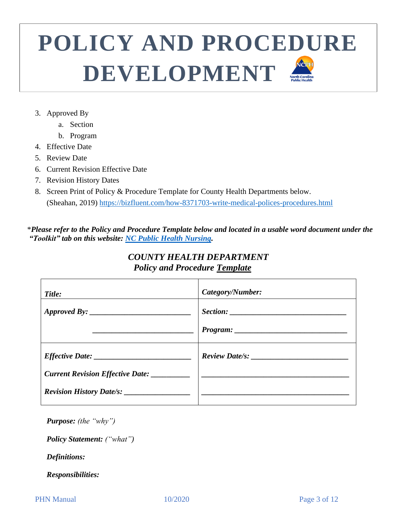- 3. Approved By
	- a. Section
	- b. Program
- 4. Effective Date
- 5. Review Date
- 6. Current Revision Effective Date
- 7. Revision History Dates
- 8. Screen Print of Policy & Procedure Template for County Health Departments below. (Sheahan, 2019) <https://bizfluent.com/how-8371703-write-medical-polices-procedures.html>

 \**Please refer to the Policy and Procedure Template below and located in a usable word document under the "Toolkit" tab on this website: [NC Public Health Nursing.](https://ncpublichealthnursing.org/nursing-manual/)*

## *COUNTY HEALTH DEPARTMENT Policy and Procedure Template*

| Title: | Category/Number: |
|--------|------------------|
|        |                  |
|        |                  |
|        |                  |
|        |                  |
|        |                  |

*Purpose: (the "why")*

*Policy Statement: ("what")*

*Definitions:* 

*Responsibilities:*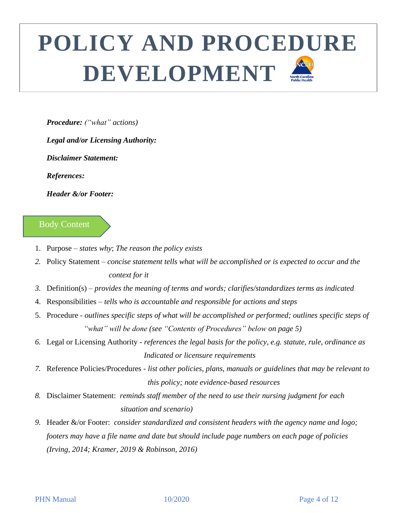*Procedure: ("what" actions)*

*Legal and/or Licensing Authority:* 

*Disclaimer Statement:* 

*References:* 

*Header &/or Footer:* 

### Body Content

- 1. Purpose *states why*; *The reason the policy exists*
- *2.* Policy Statement *concise statement tells what will be accomplished or is expected to occur and the context for it*
- *3.* Definition(s) *provides the meaning of terms and words; clarifies/standardizes terms as indicated*
- 4. Responsibilities *tells who is accountable and responsible for actions and steps*
- 5. Procedure *outlines specific steps of what will be accomplished or performed; outlines specific steps of "what" will be done (see "Contents of Procedures" below on page 5)*
- *6.* Legal or Licensing Authority *references the legal basis for the policy, e.g. statute, rule, ordinance as Indicated or licensure requirements*
- *7.* Reference Policies/Procedures *list other policies, plans, manuals or guidelines that may be relevant to this policy; note evidence-based resources*
- *8.* Disclaimer Statement: *reminds staff member of the need to use their nursing judgment for each*  *situation and scenario)*
- *9.* Header &/or Footer: *consider standardized and consistent headers with the agency name and logo; footers may have a file name and date but should include page numbers on each page of policies (Irving, 2014; Kramer, 2019 & Robinson, 2016)*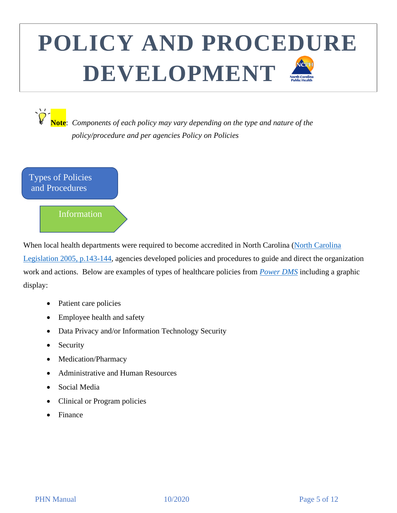**Note**: *Components of each policy may vary depending on the type and nature of the policy/procedure and per agencies Policy on Policies*

Types of Policies and Procedures

### Information

When local health departments were required to become accredited in North Carolina (North Carolina [Legislation 2005, p.143-144,](https://www.sog.unc.edu/sites/www.sog.unc.edu/files/full_text_books/2005%20NC%20Legislation.pdf) agencies developed policies and procedures to guide and direct the organization work and actions. Below are examples of types of healthcare policies from *[Power](https://www.powerdms.com/blog/examples-healthcare-policies/) DMS* including a graphic display:

- Patient care policies
- Employee health and safety
- Data Privacy and/or Information Technology Security
- Security
- Medication/Pharmacy
- Administrative and Human Resources
- Social Media
- Clinical or Program policies
- Finance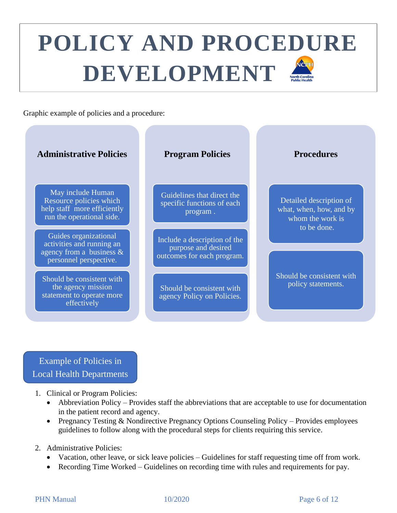Graphic example of policies and a procedure:



Example of Policies in Local Health Departments

- 1. Clinical or Program Policies:
	- Abbreviation Policy Provides staff the abbreviations that are acceptable to use for documentation in the patient record and agency.
	- Pregnancy Testing & Nondirective Pregnancy Options Counseling Policy Provides employees guidelines to follow along with the procedural steps for clients requiring this service.
- 2. Administrative Policies:
	- Vacation, other leave, or sick leave policies Guidelines for staff requesting time off from work.
	- Recording Time Worked Guidelines on recording time with rules and requirements for pay.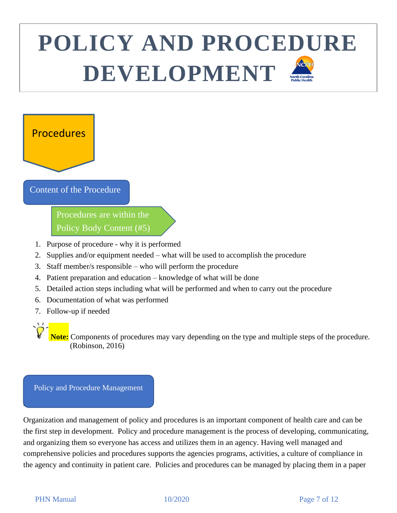## Procedures

 $\overline{1}$ 

a

#### Content of the Procedure

Procedures are within the Policy Body Content (#5)

- 1. Purpose of procedure why it is performed
- 2. Supplies and/or equipment needed what will be used to accomplish the procedure
- 3. Staff member/s responsible who will perform the procedure
- 4. Patient preparation and education knowledge of what will be done
- 5. Detailed action steps including what will be performed and when to carry out the procedure
- 6. Documentation of what was performed
- 7. Follow-up if needed

 **Note:** Components of procedures may vary depending on the type and multiple steps of the procedure. (Robinson, 2016)

#### Policy and Procedure Management

Organization and management of policy and procedures is an important component of health care and can be the first step in development. Policy and procedure management is the process of developing, communicating, and organizing them so everyone has access and utilizes them in an agency. Having well managed and comprehensive policies and procedures supports the agencies programs, activities, a culture of compliance in the agency and continuity in patient care. Policies and procedures can be managed by placing them in a paper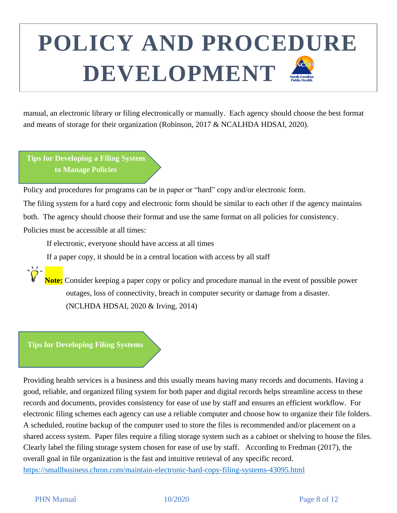manual, an electronic library or filing electronically or manually. Each agency should choose the best format and means of storage for their organization (Robinson, 2017 & NCALHDA HDSAI, 2020).

**Tips for Developing a Filing System to Manage Policies**

Policy and procedures for programs can be in paper or "hard" copy and/or electronic form.

The filing system for a hard copy and electronic form should be similar to each other if the agency maintains both. The agency should choose their format and use the same format on all policies for consistency. Policies must be accessible at all times:

If electronic, everyone should have access at all times

If a paper copy, it should be in a central location with access by all staff

 **Note:** Consider keeping a paper copy or policy and procedure manual in the event of possible power outages, loss of connectivity, breach in computer security or damage from a disaster. (NCLHDA HDSAI, 2020 & Irving, 2014)

**Tips for Developing Filing Systems**

Providing health services is a business and this usually means having many records and documents. Having a good, reliable, and organized filing system for both paper and digital records helps streamline access to these records and documents, provides consistency for ease of use by staff and ensures an efficient workflow. For electronic filing schemes each agency can use a reliable computer and choose how to organize their file folders. A scheduled, routine backup of the computer used to store the files is recommended and/or placement on a shared access system. Paper files require a filing storage system such as a cabinet or shelving to house the files. Clearly label the filing storage system chosen for ease of use by staff. According to Fredman (2017), the overall goal in file organization is the fast and intuitive retrieval of any specific record. <https://smallbusiness.chron.com/maintain-electronic-hard-copy-filing-systems-43095.html>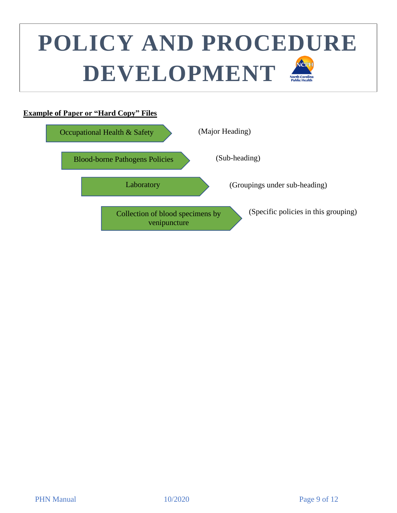#### **Example of Paper or "Hard Copy" Files**

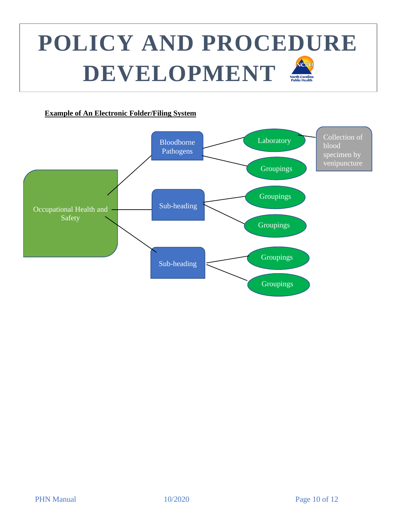## **POLICY AND PROCEDURE**  NCPH **DEVELOPMENT** <u>FILING SYSTEM SYSTEM SYSTEM SYSTEM SYSTEM SYSTEM SYSTEM SYSTEM SYSTEM SYSTEM SYSTEM SYSTEM SYSTEM SYSTEM SYSTEM SYS</u>

#### **Example of An Electronic Folder/Filing System**

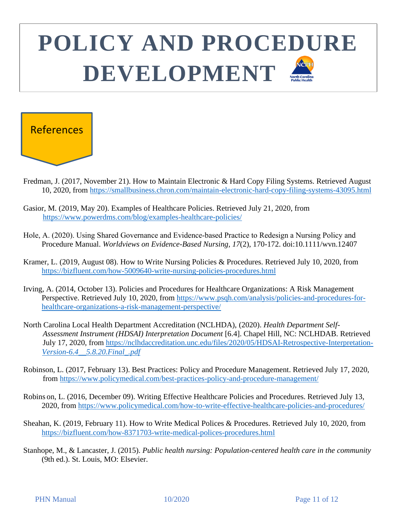

- Fredman, J. (2017, November 21). How to Maintain Electronic & Hard Copy Filing Systems. Retrieved August 10, 2020, from<https://smallbusiness.chron.com/maintain-electronic-hard-copy-filing-systems-43095.html>
- Gasior, M. (2019, May 20). Examples of Healthcare Policies. Retrieved July 21, 2020, from <https://www.powerdms.com/blog/examples-healthcare-policies/>
- Hole, A. (2020). Using Shared Governance and Evidence‐based Practice to Redesign a Nursing Policy and Procedure Manual. *Worldviews on Evidence-Based Nursing, 17*(2), 170-172. doi:10.1111/wvn.12407
- Kramer, L. (2019, August 08). How to Write Nursing Policies & Procedures. Retrieved July 10, 2020, from <https://bizfluent.com/how-5009640-write-nursing-policies-procedures.html>
- Irving, A. (2014, October 13). Policies and Procedures for Healthcare Organizations: A Risk Management Perspective. Retrieved July 10, 2020, from [https://www.psqh.com/analysis/policies-and-procedures-for](https://www.psqh.com/analysis/policies-and-procedures-for-healthcare-organizations-a-risk-management-perspective/)[healthcare-organizations-a-risk-management-perspective/](https://www.psqh.com/analysis/policies-and-procedures-for-healthcare-organizations-a-risk-management-perspective/)
- North Carolina Local Health Department Accreditation (NCLHDA), (2020). *Health Department Self- Assessment Instrument (HDSAI) Interpretation Document* [6.4]. Chapel Hill, NC: NCLHDAB. Retrieved July 17, 2020, from [https://nclhdaccreditation.unc.edu/files/2020/05/HDSAI-Retrospective-Interpretation-](https://nclhdaccreditation.unc.edu/files/2020/05/HDSAI-Retrospective-Interpretation-Version-6.4__5.8.20.Final_.pdf)*[Version-6.4\\_\\_5.8.20.Final\\_.pdf](https://nclhdaccreditation.unc.edu/files/2020/05/HDSAI-Retrospective-Interpretation-Version-6.4__5.8.20.Final_.pdf)*
- Robinson, L. (2017, February 13). Best Practices: Policy and Procedure Management. Retrieved July 17, 2020, from<https://www.policymedical.com/best-practices-policy-and-procedure-management/>
- Robins on, L. (2016, December 09). Writing Effective Healthcare Policies and Procedures. Retrieved July 13, 2020, from<https://www.policymedical.com/how-to-write-effective-healthcare-policies-and-procedures/>
- Sheahan, K. (2019, February 11). How to Write Medical Polices & Procedures. Retrieved July 10, 2020, from <https://bizfluent.com/how-8371703-write-medical-polices-procedures.html>
- Stanhope, M., & Lancaster, J. (2015). *Public health nursing: Population-centered health care in the community* (9th ed.). St. Louis, MO: Elsevier.